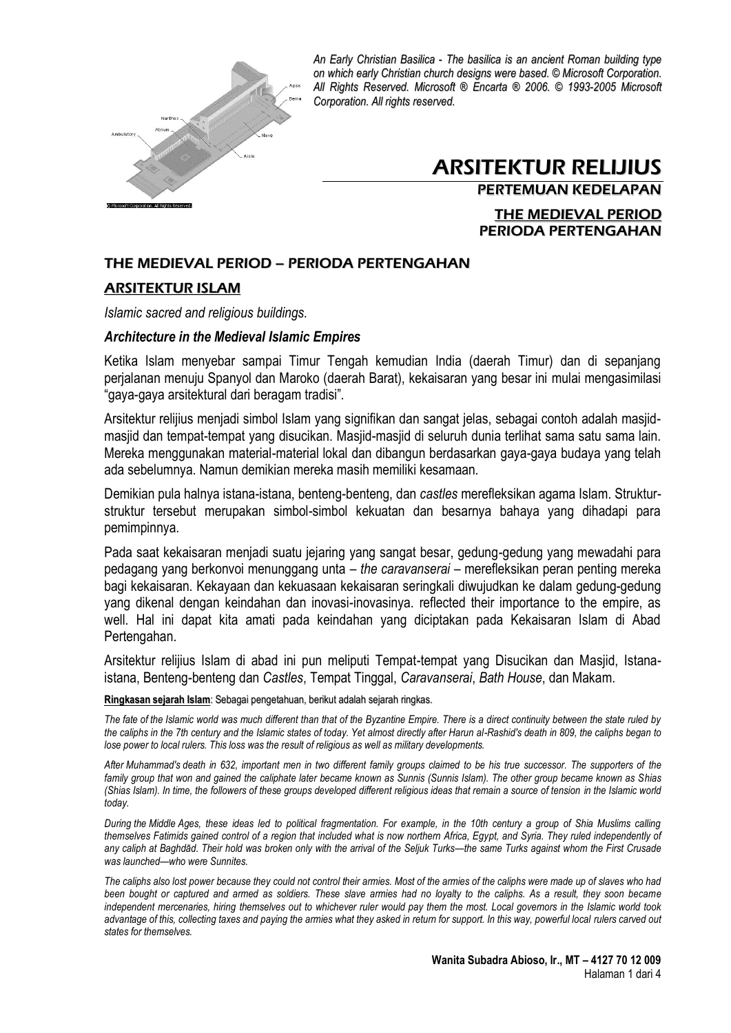

# ARSITEKTUR RELIJIUS

PERTEMUAN KEDELAPAN

THE MEDIEVAL PERIOD PERIODA PERTENGAHAN

### THE MEDIEVAL PERIOD – PERIODA PERTENGAHAN

#### ARSITEKTUR ISLAM

*Islamic sacred and religious buildings.*

#### *Architecture in the Medieval Islamic Empires*

Ketika Islam menyebar sampai Timur Tengah kemudian India (daerah Timur) dan di sepanjang perjalanan menuju Spanyol dan Maroko (daerah Barat), kekaisaran yang besar ini mulai mengasimilasi "gaya-gaya arsitektural dari beragam tradisi".

Arsitektur relijius menjadi simbol Islam yang signifikan dan sangat jelas, sebagai contoh adalah masjidmasjid dan tempat-tempat yang disucikan. Masjid-masjid di seluruh dunia terlihat sama satu sama lain. Mereka menggunakan material-material lokal dan dibangun berdasarkan gaya-gaya budaya yang telah ada sebelumnya. Namun demikian mereka masih memiliki kesamaan.

Demikian pula halnya istana-istana, benteng-benteng, dan *castles* merefleksikan agama Islam. Strukturstruktur tersebut merupakan simbol-simbol kekuatan dan besarnya bahaya yang dihadapi para pemimpinnya.

Pada saat kekaisaran menjadi suatu jejaring yang sangat besar, gedung-gedung yang mewadahi para pedagang yang berkonvoi menunggang unta – *the caravanserai* – merefleksikan peran penting mereka bagi kekaisaran. Kekayaan dan kekuasaan kekaisaran seringkali diwujudkan ke dalam gedung-gedung yang dikenal dengan keindahan dan inovasi-inovasinya. reflected their importance to the empire, as well. Hal ini dapat kita amati pada keindahan yang diciptakan pada Kekaisaran Islam di Abad Pertengahan.

Arsitektur relijius Islam di abad ini pun meliputi Tempat-tempat yang Disucikan dan Masjid, Istanaistana, Benteng-benteng dan *Castles*, Tempat Tinggal, *Caravanserai*, *Bath House*, dan Makam.

**Ringkasan sejarah Islam**: Sebagai pengetahuan, berikut adalah sejarah ringkas.

*The fate of the Islamic world was much different than that of the Byzantine Empire. There is a direct continuity between the state ruled by the caliphs in the 7th century and the Islamic states of today. Yet almost directly after Harun al-Rashid's death in 809, the caliphs began to lose power to local rulers. This loss was the result of religious as well as military developments.* 

*After Muhammad's death in 632, important men in two different family groups claimed to be his true successor. The supporters of the family group that won and gained the caliphate later became known as Sunnis (Sunnis Islam). The other group became known as Shias (Shias Islam). In time, the followers of these groups developed different religious ideas that remain a source of tension in the Islamic world today.* 

*During the Middle Ages, these ideas led to political fragmentation. For example, in the 10th century a group of Shia Muslims calling themselves Fatimids gained control of a region that included what is now northern Africa, Egypt, and Syria. They ruled independently of any caliph at Baghdād. Their hold was broken only with the arrival of the Seljuk Turks—the same Turks against whom the First Crusade was launched—who were Sunnites.* 

*The caliphs also lost power because they could not control their armies. Most of the armies of the caliphs were made up of slaves who had been bought or captured and armed as soldiers. These slave armies had no loyalty to the caliphs. As a result, they soon became independent mercenaries, hiring themselves out to whichever ruler would pay them the most. Local governors in the Islamic world took advantage of this, collecting taxes and paying the armies what they asked in return for support. In this way, powerful local rulers carved out states for themselves.*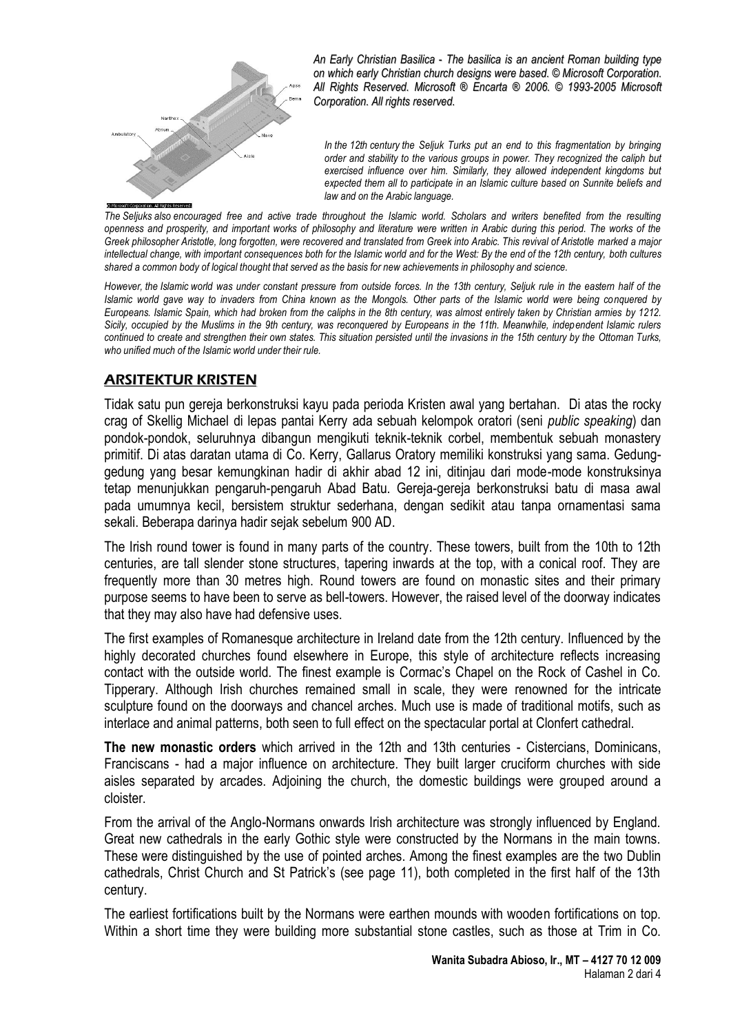

*In the 12th century the Seljuk Turks put an end to this fragmentation by bringing order and stability to the various groups in power. They recognized the caliph but exercised influence over him. Similarly, they allowed independent kingdoms but expected them all to participate in an Islamic culture based on Sunnite beliefs and law and on the Arabic language.* 

*The Seljuks also encouraged free and active trade throughout the Islamic world. Scholars and writers benefited from the resulting openness and prosperity, and important works of philosophy and literature were written in Arabic during this period. The works of the Greek philosopher Aristotle, long forgotten, were recovered and translated from Greek into Arabic. This revival of Aristotle marked a major intellectual change, with important consequences both for the Islamic world and for the West: By the end of the 12th century, both cultures shared a common body of logical thought that served as the basis for new achievements in philosophy and science.*

*However, the Islamic world was under constant pressure from outside forces. In the 13th century, Seljuk rule in the eastern half of the Islamic world gave way to invaders from China known as the Mongols. Other parts of the Islamic world were being conquered by Europeans. Islamic Spain, which had broken from the caliphs in the 8th century, was almost entirely taken by Christian armies by 1212. Sicily, occupied by the Muslims in the 9th century, was reconquered by Europeans in the 11th. Meanwhile, independent Islamic rulers continued to create and strengthen their own states. This situation persisted until the invasions in the 15th century by the Ottoman Turks, who unified much of the Islamic world under their rule.*

## ARSITEKTUR KRISTEN

Tidak satu pun gereja berkonstruksi kayu pada perioda Kristen awal yang bertahan. Di atas the rocky crag of Skellig Michael di lepas pantai Kerry ada sebuah kelompok oratori (seni *public speaking*) dan pondok-pondok, seluruhnya dibangun mengikuti teknik-teknik corbel, membentuk sebuah monastery primitif. Di atas daratan utama di Co. Kerry, Gallarus Oratory memiliki konstruksi yang sama. Gedunggedung yang besar kemungkinan hadir di akhir abad 12 ini, ditinjau dari mode-mode konstruksinya tetap menunjukkan pengaruh-pengaruh Abad Batu. Gereja-gereja berkonstruksi batu di masa awal pada umumnya kecil, bersistem struktur sederhana, dengan sedikit atau tanpa ornamentasi sama sekali. Beberapa darinya hadir sejak sebelum 900 AD.

The Irish round tower is found in many parts of the country. These towers, built from the 10th to 12th centuries, are tall slender stone structures, tapering inwards at the top, with a conical roof. They are frequently more than 30 metres high. Round towers are found on monastic sites and their primary purpose seems to have been to serve as bell-towers. However, the raised level of the doorway indicates that they may also have had defensive uses.

The first examples of Romanesque architecture in Ireland date from the 12th century. Influenced by the highly decorated churches found elsewhere in Europe, this style of architecture reflects increasing contact with the outside world. The finest example is Cormac's Chapel on the Rock of Cashel in Co. Tipperary. Although Irish churches remained small in scale, they were renowned for the intricate sculpture found on the doorways and chancel arches. Much use is made of traditional motifs, such as interlace and animal patterns, both seen to full effect on the spectacular portal at Clonfert cathedral.

**The new monastic orders** which arrived in the 12th and 13th centuries - Cistercians, Dominicans, Franciscans - had a major influence on architecture. They built larger cruciform churches with side aisles separated by arcades. Adjoining the church, the domestic buildings were grouped around a cloister.

From the arrival of the Anglo-Normans onwards Irish architecture was strongly influenced by England. Great new cathedrals in the early Gothic style were constructed by the Normans in the main towns. These were distinguished by the use of pointed arches. Among the finest examples are the two Dublin cathedrals, Christ Church and St Patrick's (see page 11), both completed in the first half of the 13th century.

The earliest fortifications built by the Normans were earthen mounds with wooden fortifications on top. Within a short time they were building more substantial stone castles, such as those at Trim in Co.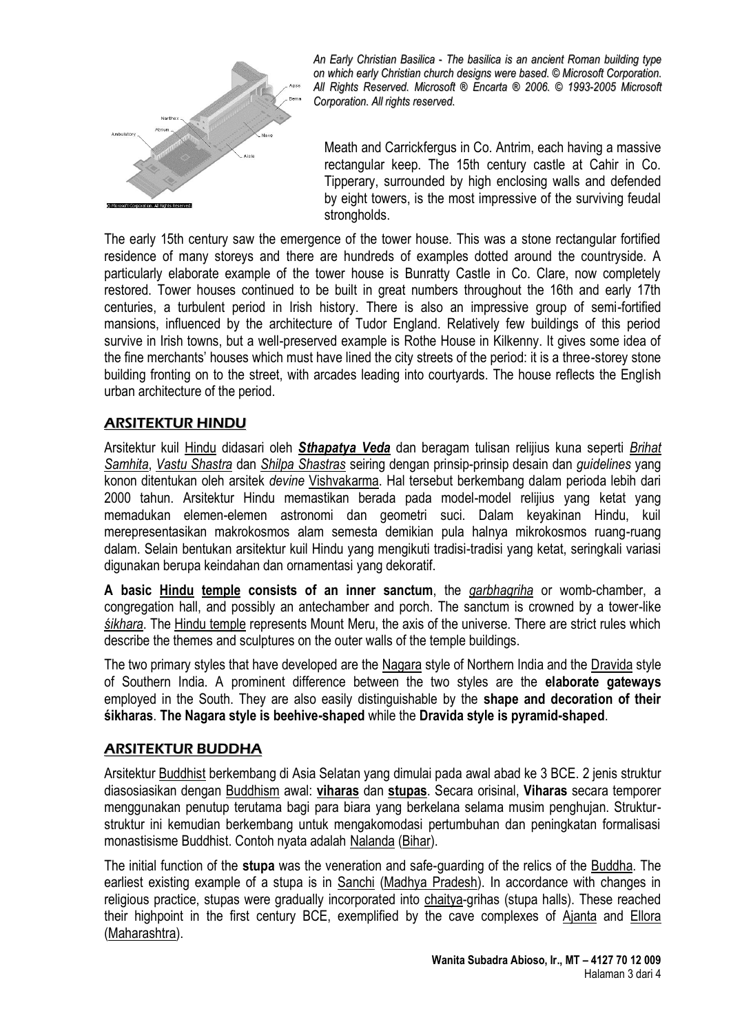

Meath and Carrickfergus in Co. Antrim, each having a massive rectangular keep. The 15th century castle at Cahir in Co. Tipperary, surrounded by high enclosing walls and defended by eight towers, is the most impressive of the surviving feudal strongholds.

The early 15th century saw the emergence of the tower house. This was a stone rectangular fortified residence of many storeys and there are hundreds of examples dotted around the countryside. A particularly elaborate example of the tower house is Bunratty Castle in Co. Clare, now completely restored. Tower houses continued to be built in great numbers throughout the 16th and early 17th centuries, a turbulent period in Irish history. There is also an impressive group of semi-fortified mansions, influenced by the architecture of Tudor England. Relatively few buildings of this period survive in Irish towns, but a well-preserved example is Rothe House in Kilkenny. It gives some idea of the fine merchants' houses which must have lined the city streets of the period: it is a three-storey stone building fronting on to the street, with arcades leading into courtyards. The house reflects the English urban architecture of the period.

## ARSITEKTUR HINDU

Arsitektur kuil [Hindu](http://en.wikipedia.org/wiki/Hindu_temple_architecture) didasari oleh *[Sthapatya Veda](http://en.wikipedia.org/wiki/Sthapatya_Veda)* dan beragam tulisan relijius kuna seperti *[Brihat](http://en.wikipedia.org/wiki/Brihat_Samhita)  [Samhita](http://en.wikipedia.org/wiki/Brihat_Samhita)*, *[Vastu Shastra](http://en.wikipedia.org/wiki/Vastu_Shastra)* dan *[Shilpa Shastras](http://en.wikipedia.org/wiki/Shilpa_Shastras)* seiring dengan prinsip-prinsip desain dan *guidelines* yang konon ditentukan oleh arsitek *devine* [Vishvakarma.](http://en.wikipedia.org/wiki/Vishvakarma) Hal tersebut berkembang dalam perioda lebih dari 2000 tahun. Arsitektur Hindu memastikan berada pada model-model relijius yang ketat yang memadukan elemen-elemen astronomi dan geometri suci. Dalam keyakinan Hindu, kuil merepresentasikan makrokosmos alam semesta demikian pula halnya mikrokosmos ruang-ruang dalam. Selain bentukan arsitektur kuil Hindu yang mengikuti tradisi-tradisi yang ketat, seringkali variasi digunakan berupa keindahan dan ornamentasi yang dekoratif.

**A basic [Hindu](http://en.wikipedia.org/wiki/Hindu) [temple](http://en.wikipedia.org/wiki/Temple) consists of an inner sanctum**, the *[garbhagriha](http://en.wikipedia.org/wiki/Garbhagriha)* or womb-chamber, a congregation hall, and possibly an antechamber and porch. The sanctum is crowned by a tower-like *śik[hara](http://en.wikipedia.org/w/index.php?title=%C5%9Aikhara&action=edit&redlink=1)*. The [Hindu temple](http://en.wikipedia.org/wiki/Hindu_temple) represents Mount Meru, the axis of the universe. There are strict rules which describe the themes and sculptures on the outer walls of the temple buildings.

The two primary styles that have developed are the [Nagara](http://en.wikipedia.org/wiki/Nagara) style of Northern India and the [Dravida](http://en.wikipedia.org/wiki/Dravida) style of Southern India. A prominent difference between the two styles are the **elaborate gateways** employed in the South. They are also easily distinguishable by the **shape and decoration of their śikharas**. **The Nagara style is beehive-shaped** while the **Dravida style is pyramid-shaped**.

## ARSITEKTUR BUDDHA

Arsitektur [Buddhist](http://en.wikipedia.org/wiki/Buddhist_architecture) berkembang di Asia Selatan yang dimulai pada awal abad ke 3 BCE. 2 jenis struktur diasosiasikan dengan [Buddhism](http://en.wikipedia.org/wiki/Buddhism) awal: **[viharas](http://en.wikipedia.org/wiki/Viharas)** dan **[stupas](http://en.wikipedia.org/wiki/Stupas)**. Secara orisinal, **Viharas** secara temporer menggunakan penutup terutama bagi para biara yang berkelana selama musim penghujan. Strukturstruktur ini kemudian berkembang untuk mengakomodasi pertumbuhan dan peningkatan formalisasi monastisisme Buddhist. Contoh nyata adalah [Nalanda](http://en.wikipedia.org/wiki/Nalanda) [\(Bihar\)](http://en.wikipedia.org/wiki/Bihar).

The initial function of the **stupa** was the veneration and safe-guarding of the relics of the [Buddha.](http://en.wikipedia.org/wiki/Gautama_Buddha) The earliest existing example of a stupa is in [Sanchi](http://en.wikipedia.org/wiki/Sanchi) [\(Madhya Pradesh\)](http://en.wikipedia.org/wiki/Madhya_Pradesh). In accordance with changes in religious practice, stupas were gradually incorporated into [chaitya-](http://en.wikipedia.org/wiki/Chaitya)grihas (stupa halls). These reached their highpoint in the first century BCE, exemplified by the cave complexes of [Ajanta](http://en.wikipedia.org/wiki/Ajanta) and [Ellora](http://en.wikipedia.org/wiki/Ellora) [\(Maharashtra\)](http://en.wikipedia.org/wiki/Maharashtra).